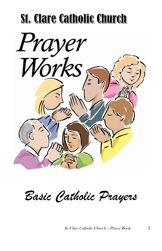

*Basic Catholic Prayers*

St. Clare Catholic Church - Prayer Book. 1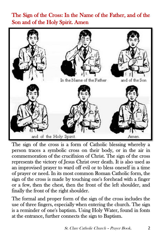The Sign of the Cross: In the Name of the Father, and of the Son and of the Holy Spirit. Amen



The sign of the cross is a form of Catholic blessing whereby a person traces a symbolic cross on their body, or in the air in commemoration of the crucifixion of Christ. The sign of the cross represents the victory of Jesus Christ over death. It is also used as an improvised prayer to ward off evil or to bless oneself in a time of prayer or need. In its most common Roman Catholic form, the sign of the cross is made by touching one's forehead with a finger or a few, then the chest, then the front of the left shoulder, and finally the front of the right shoulder.

The formal and proper form of the sign of the cross includes the use of three fingers, especially when entering the church. The sign is a reminder of one's baptism. Using Holy Water, found in fonts at the entrance, further connects the sign to Baptism.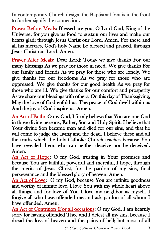In contemporary Church design, the Baptismal font is in the front to further signify the connection.

Prayer Before Meals: Blessed are you, O Lord God, King of the Universe, for you give us food to sustain our lives and make our hearts glad; through Jesus Christ our Lord. Amen. For these and all his mercies, God's holy Name be blessed and praised, through Jesus Christ our Lord. Amen.

Prayer After Meals: Dear Lord: Today we give thanks For our many blessings As we pray for those in need. We give thanks For our family and friends As we pray for those who are lonely. We give thanks for our freedoms As we pray for those who are oppressed. We give thanks for our good health As we pray for those who are ill. We give thanks for our comfort and prosperity As we share our blessings with others. On this day of Thanksgiving, May the love of God enfold us, The peace of God dwell within us And the joy of God inspire us. Amen.

An Act of Faith: O my God, I firmly believe that You are one God in three divine persons, Father, Son and Holy Spirit. I believe that Your divine Son became man and died for our sins, and that he will come to judge the living and the dead. I believe these and all the truths which the holy Catholic Church teaches because You have revealed them, who can neither deceive nor be deceived. Amen.

An Act of Hope: O my God, trusting in Your promises and because You are faithful, powerful and merciful, I hope, through the merits of Jesus Christ, for the pardon of my sins, final perseverance and the blessed glory of heaven. Amen.

An Act of Love: O my God, because You are infinite goodness and worthy of infinite love, I love You with my whole heart above all things, and for love of You I love my neighbor as myself. I forgive all who have offended me and ask pardon of all whom I have offended. Amen.

An Act of Contrition (For all occasions: O my God, I am heartily sorry for having offended Thee and I detest all my sins, because I dread the loss of heaven and the pains of hell; but most of all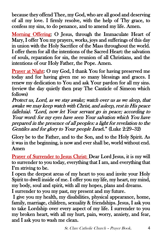because they offend Thee, my God, who are all good and deserving of all my love. I firmly resolve, with the help of Thy grace, to confess my sins, to do penance, and to amend my life. Amen.

Morning Offering: O Jesus, through the Immaculate Heart of Mary, I offer You my prayers, works, joys and sufferings of this day in union with the Holy Sacrifice of the Mass throughout the world. I offer them for all the intentions of the Sacred Heart: the salvation of souls, reparation for sin, the reunion of all Christians, and the intentions of our Holy Father, the Pope. Amen.

Prayer at Night: O my God, I thank You for having preserved me today and for having given me so many blessings and graces. I renew my dedication to You and ask Your pardon for all my sins. (review the day quietly then pray The Canticle of Simeon which follows)

Protect us, Lord, as we stay awake; watch over us as we sleep, that awake we may keep watch with Christ, and asleep, rest in His peace (alleluia). "Lord, now let Your servant go in peace; according to Your word: for my eyes have seen Your salvation which You have prepared in the presence of all peoples: a light for revelation to the Gentiles and for glory to Your people Israel." (Luke 2:29–32)

Glory be to the Father, and to the Son, and to the Holy Spirit. As it was in the beginning, is now and ever shall be, world without end. Amen

Prayer of Surrender to Jesus Christ: Dear Lord Jesus, it is my will to surrender to you today, everything that I am, and everything that I'm striving to be.

I open the deepest areas of my heart to you and invite your Holy Spirit to dwell inside of me. I offer you my life, my heart, my mind, my body, soul and spirit, with all my hopes, plans and dreams.

I surrender to you my past, my present and my future.

 I give you my health, my disabilities, physical appearance, home, family, marriage, children, sexuality & friendships. Jesus, I ask you to take Lordship over every aspect of my life. I surrender to you my broken heart, with all my hurt, pain, worry, anxiety, and fear, and I ask you to wash me clean.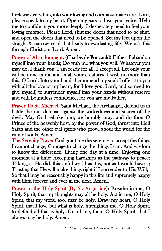I release everything into your loving and compassionate care. Lord, please speak to my heart. Open my ears to hear your voice. Help me to confide in you more deeply. I desperately need to feel your loving embrace. Please Lord, shut the doors that need to be shut, and open the doors that need to be opened. Set my feet upon the straight & narrow road that leads to everlasting life. We ask this through Christ our Lord. Amen.

Prayer of Abandonment: (Charles de Foucauld) Father, I abandon myself into your hands; Do with me what you will. Whatever you may do, I thank you; I am ready for all, I accept all. Let only your will be done in me and in all your creatures. I wish no more than this, O Lord. Into your hands I commend my soul: I offer it to you with all the love of my heart, for I love you, Lord, and so need to give myself, to surrender myself into your hands without reserve and with boundless confidence, for you are my Father.

Prayer To St. Michael: Saint Michael, the Archangel, defend us in battle, be our defense against the wickedness and snares of the devil. May God rebuke him, we humbly pray; and do thou O Prince of the heavenly host, by the power of God, thrust into Hell Satan and the other evil spirits who prowl about the world for the ruin of souls. Amen.

The Serenity Prayer God grant me the serenity to accept the things I cannot change; Courage to change the things I can; And wisdom to know the difference. Living one day at a time; Enjoying one moment at a time; Accepting hardships as the pathway to peace; Taking, as He did, this sinful world as it is, not as I would have it; Trusting that He will make things right if I surrender to His Will; So that I may be reasonably happy in this life and supremely happy with Him forever and ever in the next. Amen..

Prayer to the Holy Spirit (By St. Augustine): Breathe in me, O Holy Spirit, that my thoughts may all be holy. Act in me, O Holy Spirit, that my work, too, may be holy. Draw my heart, O Holy Spirit, that I love but what is holy. Strengthen me, O Holy Spirit, to defend all that is holy. Guard me, then, O Holy Spirit, that I always may be holy. Amen.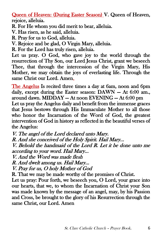Queen of Heaven: (During Easter Season) V. Queen of Heaven, rejoice, alleluia.

R. For He whom you did merit to bear, alleluia.

V. Has risen, as he said, alleluia.

R. Pray for us to God, alleluia.

V. Rejoice and be glad, O Virgin Mary, alleluia.

R. For the Lord has truly risen, alleluia.

Let us pray. O God, who gave joy to the world through the resurrection of Thy Son, our Lord Jesus Christ, grant we beseech Thee, that through the intercession of the Virgin Mary, His Mother, we may obtain the joys of everlasting life. Through the same Christ our Lord. Amen.

The Angelus Is recited three times a day at 6am, noon and 6pm daily, except during the Easter season: DAWN — At 6:00 am., around dawn. MIDDAY — At noon EVENING — At 6:00 pm Let us pray the Angelus daily and benefit from the immense graces that Iesus bestows through His Immaculate Mother to all those who honor the Incarnation of the Word of God, the greatest intervention of God in history as reflected in the beautiful verses of the Angelus:

V. The angel of the Lord declared unto Mary.

R. And she conceived of the Holy Spirit. Hail Mary...

V. Behold the handmaid of the Lord R. Let it be done unto me according to your word. Hail Mary...

V. And the Word was made flesh

R. And dwelt among us. Hail Mary...

V. Pray for us, O holy Mother of God

R. That we may be made worthy of the promises of Christ.

Let us pray: Pour forth, we beseech you, O Lord, your grace into our hearts, that we, to whom the Incarnation of Christ your Son was made known by the message of an angel, may, by his Passion and Cross, be brought to the glory of his Resurrection through the same Christ, our Lord. Amen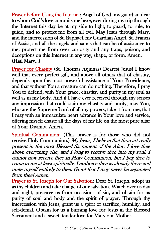Prayer before Using the Internet: Angel of God, my guardian dear to whom God's love commits me here, ever during my trip through the Internet this day be at my side to light, to guard, to rule, to guide, and to protect me from all evil. May Jesus through Mary, and the intercession of St. Raphael, my Guardian Angel, St. Francis of Assisi, and all the angels and saints that can be of assistance to me, protect me from over curiosity and any traps, poison, and deceptions on this Internet in any way, shape, or form. Amen. (Hail Mary…)

Prayer for Chastity (St. Thomas Aquinas) Dearest Jesus! I know well that every perfect gift, and above all others that of chastity, depends upon the most powerful assistance of Your Providence, and that without You a creature can do nothing. Therefore, I pray You to defend, with Your grace, chastity, and purity in my soul as well as in my body. And if I have ever received through my senses any impression that could stain my chastity and purity, may You, who are the Supreme Lord of all my powers, take it from me, that I may with an immaculate heart advance in Your love and service, offering myself chaste all the days of my life on the most pure altar of Your Divinity. Amen.

Spiritual Communion: (This prayer is for those who did not receive Holy Communion.) My Jesus, I believe that thou art really present in the most Blessed Sacrament of the Altar. I love thee above everything else, and I long to receive thee into my soul. I cannot now receive thee in Holy Communion, but I beg thee to come to me at least spiritually. I embrace thee as already there and unite myself entirely to thee. Grant that I may never be separated from thee! Amen.

Prayer to St. Joseph for Our Salvation: Dear St. Joseph, adopt us as thy children and take charge of our salvation. Watch over us day and night, preserve us from occasions of sin, and obtain for us purity of soul and body and the spirit of prayer. Through thy intercession with Jesus, grant us a spirit of sacrifice, humility, and self-denial. Obtain for us a burning love for Jesus in the Blessed Sacrament and a sweet, tender love for Mary our Mother.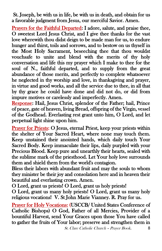St. Joseph, be with us in life, be with us in death, and obtain for us a favorable judgment from Jesus, our merciful Savior. Amen.

Prayers for the Faithful Departed: I adore, salute, and praise thee, O sweetest Lord Jesus Christ, and I give thee thanks for the vast love wherewith thou didst deign to be made man for us, to endure hunger and thirst, toils and sorrows, and to bestow on us thyself in the Most Holy Sacrament, beseeching thee that thou wouldst vouchsafe to unite and blend with the merits of thy holy conversation and life this my prayer which I make to thee for the soul of N., faithful departed, and to supply from the great abundance of those merits, and perfectly to complete whatsoever he neglected in thy worship and love, in thanksgiving and prayer, in virtue and good works, and all the service due to thee, in all that by thy grace he could have done and did not do, or did from impure motives or carelessly and imperfectly. Amen.

Response: Hail, Jesus Christ, splendor of the Father; hail, Prince of peace, gate of heaven, living Bread, offspring of the Virgin, vessel of the Godhead. Everlasting rest grant unto him, O Lord, and let perpetual light shine upon him.

Prayer for Priests: O Jesus, eternal Priest, keep your priests within the shelter of Your Sacred Heart, where none may touch them. Keep unstained their anointed hands, which daily touch Your Sacred Body. Keep immaculate their lips, daily purpled with your Precious Blood. Keep pure and unearthly their hearts, sealed with the sublime mark of the priesthood. Let Your holy love surrounds them and shield them from the world's contagion.

Bless their labors with abundant fruit and may the souls to whom they minister be their joy and consolation here and in heaven their beautiful and everlasting crown. Amen.

O Lord, grant us priests! O Lord, grant us holy priests!

O Lord, grant us many holy priests! O Lord, grant us many holy religious vocations! V. St John Marie Vianney. R. Pray for us.

Prayer for Holy Vocations: (USCCB/ United States Conference of Catholic Bishops) O God, Father of all Mercies, Provider of a bountiful Harvest, send Your Graces upon those You have called to gather the fruits of Your labor; preserve and strengthen them in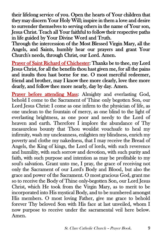their lifelong service of you. Open the hearts of Your children that they may discern Your Holy Will; inspire in them a love and desire to surrender themselves to serving others in the name of Your son, Jesus Christ. Teach all Your faithful to follow their respective paths in life guided by Your Divine Word and Truth.

Through the intercession of the Most Blessed Virgin Mary, all the Angels, and Saints, humbly hear our prayers and grant Your Church's needs, through Christ, our Lord. Amen.

Prayer of Saint Richard of Chichester: Thanks be to thee, my Lord Jesus Christ, for all the benefits thou hast given me, for all the pains and insults thou hast borne for me. O most merciful redeemer, friend and brother, may I know thee more clearly, love thee more dearly, and follow thee more nearly, day by day. Amen.

Prayer before attending Mass: Almighty and everlasting God, behold I come to the Sacrament of Thine only begotten Son, our Lord Jesus Christ: I come as one infirm to the physician of life, as one unclean to the fountain of mercy, as one blind to the light of everlasting brightness, as one poor and needy to the Lord of heaven and earth. Therefore I implore the abundance of Thy measureless bounty that Thou wouldst vouchsafe to heal my infirmity, wash my uncleanness, enlighten my blindness, enrich my poverty and clothe my nakedness, that I may receive the Bread of Angels, the King of kings, the Lord of lords, with such reverence and humility, with such sorrow and devotion, with such purity and faith, with such purpose and intention as may be profitable to my soul's salvation. Grant unto me, I pray, the grace of receiving not only the Sacrament of our Lord's Body and Blood, but also the grace and power of the Sacrament. O most gracious God, grant me so to receive the Body of Thine only-begotten Son, our Lord Jesus Christ, which He took from the Virgin Mary, as to merit to be incorporated into His mystical Body, and to be numbered amongst His members. O most loving Father, give me grace to behold forever Thy beloved Son with His face at last unveiled, whom I now purpose to receive under the sacramental veil here below. Amen.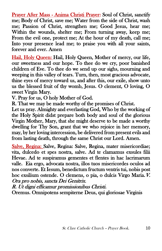Prayer After Mass - Anima Christi Prayer: Soul of Christ, sanctify me; Body of Christ, save me; Water from the side of Christ, wash me; Passion of Christ, strengthen me; Good Jesus, hear me; Within the wounds, shelter me; From turning away, keep me; From the evil one, protect me; At the hour of my death, call me; Into your presence lead me; to praise you with all your saints, forever and ever. Amen

Hail, Holy Queen: Hail, Holy Queen, Mother of mercy, our life, our sweetness and our hope. To thee do we cry, poor banished children of Eve. To thee do we send up our sighs, mourning and weeping in this valley of tears. Turn, then, most gracious advocate, thine eyes of mercy toward us, and after this, our exile, show unto us the blessed fruit of thy womb, Jesus. O clement, O loving, O sweet Virgin Mary.

V. Pray for us, O holy Mother of God.

R. That we may be made worthy of the promises of Christ.

Let us pray. Almighty and everlasting God, Who by the working of the Holy Spirit didst prepare both body and soul of the glorious Virgin Mother, Mary, that she might deserve to be made a worthy dwelling for Thy Son, grant that we who rejoice in her memory, may, by her loving intercession, be delivered from present evils and from lasting death, through the same Christ our Lord. Amen.

Salve, Regina: Salve, Regina: Salve, Regina, mater misericordiae; vita, dulcedo et spes nostra, salve. Ad te clamamus exsules filii Hevae. Ad te suspiramus gementes et flentes in hac lacrimarum valle. Eia ergo, advocata nostra, illos tuos misericordes oculos ad nos converte. Et Iesum, benedictum fructum ventris tui, nobis post hoc exsilium ostende. O clemens, o pia, o dulcis Virgo Maria.V. Ora pro nobis, sancta Dei Genitrix.

R. Ut digni efficamur promissionibus Christi.

Oremus. Omnipotens sempiterne Deus, qui gloriosae Virginis